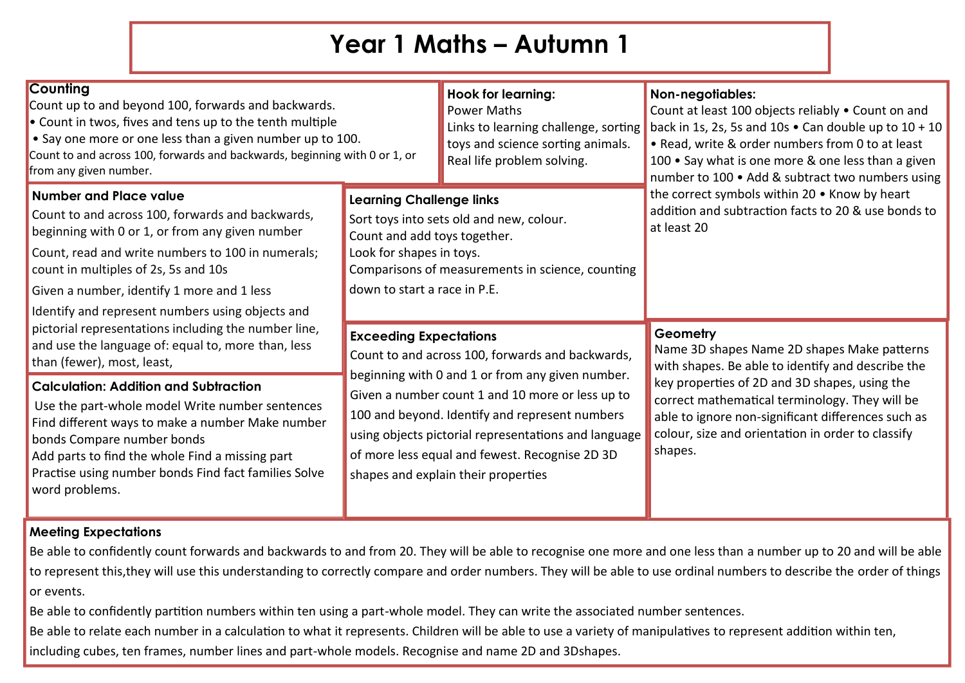# **Year 1 Maths – Autumn 1**

| <b>Counting</b><br>Count up to and beyond 100, forwards and backwards.<br>$\bullet$ Count in twos, fives and tens up to the tenth multiple<br>• Say one more or one less than a given number up to 100.<br>Count to and across 100, forwards and backwards, beginning with 0 or 1, or<br>from any given number.                     |                                                                                                                                                                                                                                                                                                         | <b>Hook for learning:</b><br><b>Power Maths</b><br>Links to learning challenge, sorting<br>toys and science sorting animals.<br>Real life problem solving. | <b>Non-negotiables:</b><br>Count at least 100 objects reliably . Count on and<br>back in 1s, 2s, 5s and 10s $\bullet$ Can double up to 10 + 10<br>• Read, write & order numbers from 0 to at least<br>100 • Say what is one more & one less than a given<br>number to 100 . Add & subtract two numbers using                          |
|-------------------------------------------------------------------------------------------------------------------------------------------------------------------------------------------------------------------------------------------------------------------------------------------------------------------------------------|---------------------------------------------------------------------------------------------------------------------------------------------------------------------------------------------------------------------------------------------------------------------------------------------------------|------------------------------------------------------------------------------------------------------------------------------------------------------------|---------------------------------------------------------------------------------------------------------------------------------------------------------------------------------------------------------------------------------------------------------------------------------------------------------------------------------------|
| <b>Number and Place value</b><br>Count to and across 100, forwards and backwards,<br>beginning with 0 or 1, or from any given number<br>Count, read and write numbers to 100 in numerals;<br>count in multiples of 2s, 5s and 10s<br>Given a number, identify 1 more and 1 less<br>Identify and represent numbers using objects and | <b>Learning Challenge links</b><br>Sort toys into sets old and new, colour.<br>Count and add toys together.<br>Look for shapes in toys.<br>down to start a race in P.E.                                                                                                                                 | Comparisons of measurements in science, counting                                                                                                           | the correct symbols within 20 . Know by heart<br>addition and subtraction facts to 20 & use bonds to<br>at least 20                                                                                                                                                                                                                   |
| pictorial representations including the number line,<br>and use the language of: equal to, more than, less<br>than (fewer), most, least,                                                                                                                                                                                            | <b>Exceeding Expectations</b><br>Count to and across 100, forwards and backwards,                                                                                                                                                                                                                       |                                                                                                                                                            | Geometry<br>Name 3D shapes Name 2D shapes Make patterns<br>with shapes. Be able to identify and describe the<br>key properties of 2D and 3D shapes, using the<br>correct mathematical terminology. They will be<br>able to ignore non-significant differences such as<br>colour, size and orientation in order to classify<br>shapes. |
| <b>Calculation: Addition and Subtraction</b><br>Use the part-whole model Write number sentences<br>Find different ways to make a number Make number<br>bonds Compare number bonds<br>Add parts to find the whole Find a missing part<br>Practise using number bonds Find fact families Solve<br>word problems.                      | beginning with 0 and 1 or from any given number.<br>Given a number count 1 and 10 more or less up to<br>100 and beyond. Identify and represent numbers<br>using objects pictorial representations and language<br>of more less equal and fewest. Recognise 2D 3D<br>shapes and explain their properties |                                                                                                                                                            |                                                                                                                                                                                                                                                                                                                                       |

### **Meeting Expectations**

Be able to confidently count forwards and backwards to and from 20. They will be able to recognise one more and one less than a number up to 20 and will be able to represent this,they will use this understanding to correctly compare and order numbers. They will be able to use ordinal numbers to describe the order of things or events.

Be able to confidently partition numbers within ten using a part-whole model. They can write the associated number sentences.

Be able to relate each number in a calculation to what it represents. Children will be able to use a variety of manipulatives to represent addition within ten,

including cubes, ten frames, number lines and part-whole models. Recognise and name 2D and 3Dshapes.